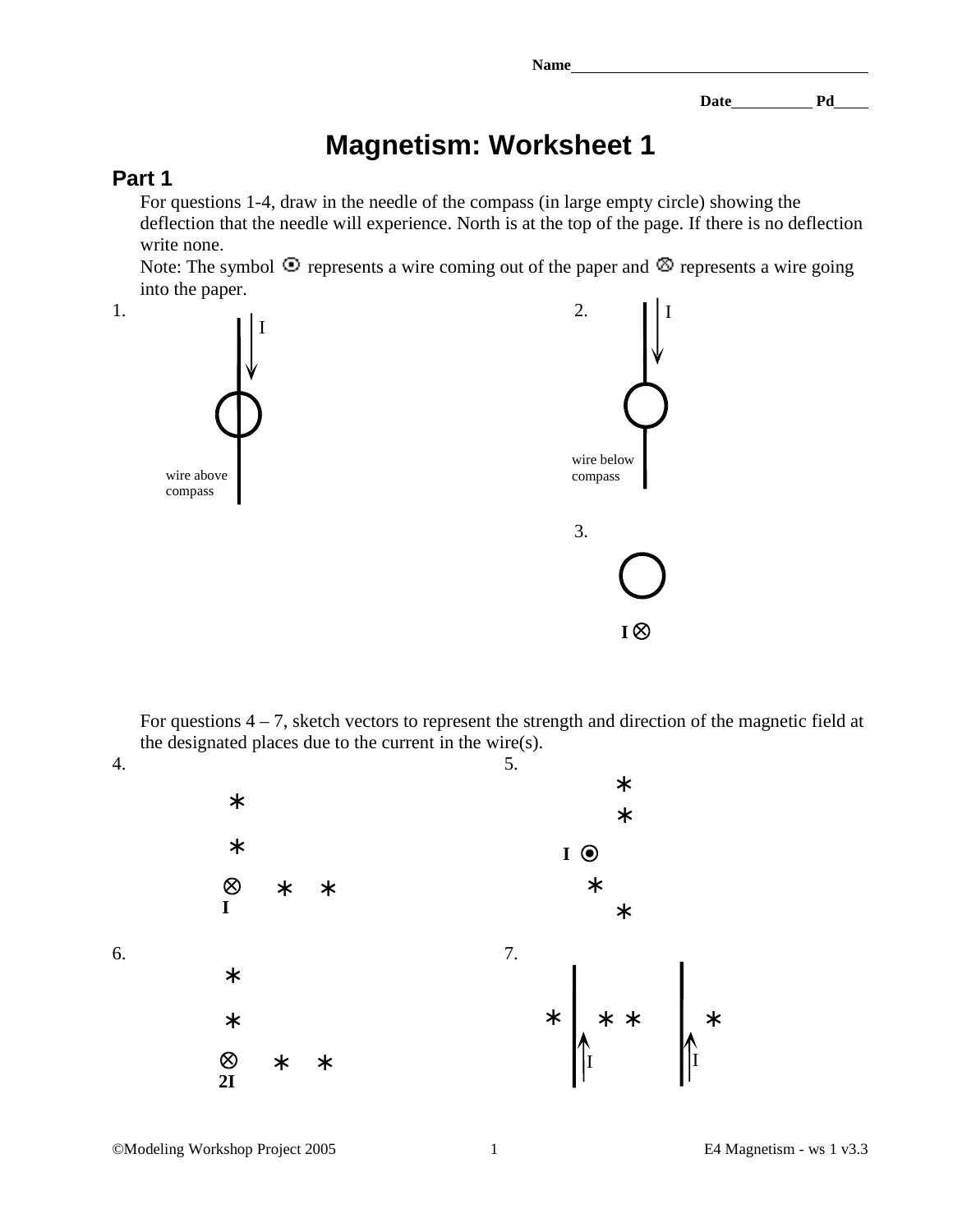Date Pd

## **Magnetism: Worksheet 1**

## **Part 1**

For questions 1-4, draw in the needle of the compass (in large empty circle) showing the deflection that the needle will experience. North is at the top of the page. If there is no deflection write none.

Note: The symbol  $\circled{1}$  represents a wire coming out of the paper and  $\circled{2}$  represents a wire going into the paper.



For questions  $4 - 7$ , sketch vectors to represent the strength and direction of the magnetic field at the designated places due to the current in the wire(s).